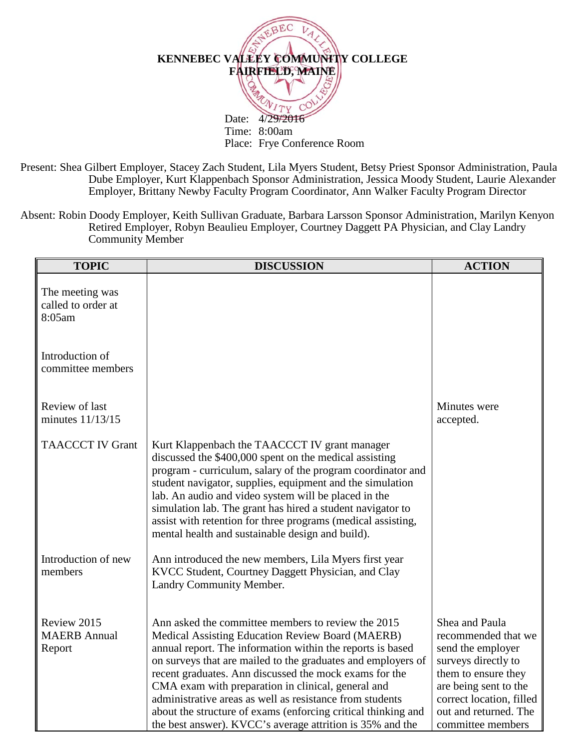

Present: Shea Gilbert Employer, Stacey Zach Student, Lila Myers Student, Betsy Priest Sponsor Administration, Paula Dube Employer, Kurt Klappenbach Sponsor Administration, Jessica Moody Student, Laurie Alexander Employer, Brittany Newby Faculty Program Coordinator, Ann Walker Faculty Program Director

Absent: Robin Doody Employer, Keith Sullivan Graduate, Barbara Larsson Sponsor Administration, Marilyn Kenyon Retired Employer, Robyn Beaulieu Employer, Courtney Daggett PA Physician, and Clay Landry Community Member

| <b>TOPIC</b>                                    | <b>DISCUSSION</b>                                                                                                                                                                                                                                                                                                                                                                                                                                                                                                                              | <b>ACTION</b>                                                                                                                                                                                               |
|-------------------------------------------------|------------------------------------------------------------------------------------------------------------------------------------------------------------------------------------------------------------------------------------------------------------------------------------------------------------------------------------------------------------------------------------------------------------------------------------------------------------------------------------------------------------------------------------------------|-------------------------------------------------------------------------------------------------------------------------------------------------------------------------------------------------------------|
| The meeting was<br>called to order at<br>8:05am |                                                                                                                                                                                                                                                                                                                                                                                                                                                                                                                                                |                                                                                                                                                                                                             |
| Introduction of<br>committee members            |                                                                                                                                                                                                                                                                                                                                                                                                                                                                                                                                                |                                                                                                                                                                                                             |
| Review of last<br>minutes 11/13/15              |                                                                                                                                                                                                                                                                                                                                                                                                                                                                                                                                                | Minutes were<br>accepted.                                                                                                                                                                                   |
| <b>TAACCCT IV Grant</b>                         | Kurt Klappenbach the TAACCCT IV grant manager<br>discussed the \$400,000 spent on the medical assisting<br>program - curriculum, salary of the program coordinator and<br>student navigator, supplies, equipment and the simulation<br>lab. An audio and video system will be placed in the<br>simulation lab. The grant has hired a student navigator to<br>assist with retention for three programs (medical assisting,<br>mental health and sustainable design and build).                                                                  |                                                                                                                                                                                                             |
| Introduction of new<br>members                  | Ann introduced the new members, Lila Myers first year<br>KVCC Student, Courtney Daggett Physician, and Clay<br>Landry Community Member.                                                                                                                                                                                                                                                                                                                                                                                                        |                                                                                                                                                                                                             |
| Review 2015<br><b>MAERB</b> Annual<br>Report    | Ann asked the committee members to review the 2015<br>Medical Assisting Education Review Board (MAERB)<br>annual report. The information within the reports is based<br>on surveys that are mailed to the graduates and employers of<br>recent graduates. Ann discussed the mock exams for the<br>CMA exam with preparation in clinical, general and<br>administrative areas as well as resistance from students<br>about the structure of exams (enforcing critical thinking and<br>the best answer). KVCC's average attrition is 35% and the | Shea and Paula<br>recommended that we<br>send the employer<br>surveys directly to<br>them to ensure they<br>are being sent to the<br>correct location, filled<br>out and returned. The<br>committee members |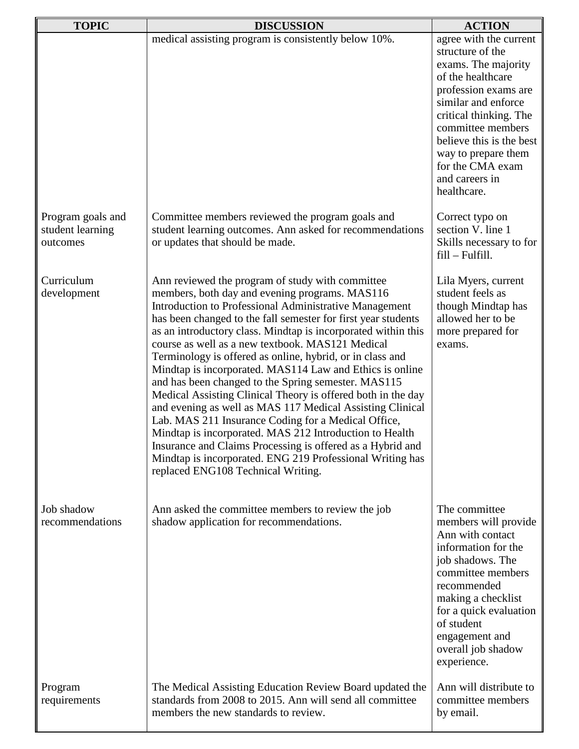| <b>TOPIC</b>                                      | <b>DISCUSSION</b>                                                                                                                                                                                                                                                                                                                                                                                                                                                                                                                                                                                                                                                                                                                                                                                                                                                                                                                                  | <b>ACTION</b>                                                                                                                                                                                                                                                                                |
|---------------------------------------------------|----------------------------------------------------------------------------------------------------------------------------------------------------------------------------------------------------------------------------------------------------------------------------------------------------------------------------------------------------------------------------------------------------------------------------------------------------------------------------------------------------------------------------------------------------------------------------------------------------------------------------------------------------------------------------------------------------------------------------------------------------------------------------------------------------------------------------------------------------------------------------------------------------------------------------------------------------|----------------------------------------------------------------------------------------------------------------------------------------------------------------------------------------------------------------------------------------------------------------------------------------------|
|                                                   | medical assisting program is consistently below 10%.                                                                                                                                                                                                                                                                                                                                                                                                                                                                                                                                                                                                                                                                                                                                                                                                                                                                                               | agree with the current<br>structure of the<br>exams. The majority<br>of the healthcare<br>profession exams are<br>similar and enforce<br>critical thinking. The<br>committee members<br>believe this is the best<br>way to prepare them<br>for the CMA exam<br>and careers in<br>healthcare. |
| Program goals and<br>student learning<br>outcomes | Committee members reviewed the program goals and<br>student learning outcomes. Ann asked for recommendations<br>or updates that should be made.                                                                                                                                                                                                                                                                                                                                                                                                                                                                                                                                                                                                                                                                                                                                                                                                    | Correct typo on<br>section V. line 1<br>Skills necessary to for<br>$fill-Fulfill.$                                                                                                                                                                                                           |
| Curriculum<br>development                         | Ann reviewed the program of study with committee<br>members, both day and evening programs. MAS116<br>Introduction to Professional Administrative Management<br>has been changed to the fall semester for first year students<br>as an introductory class. Mindtap is incorporated within this<br>course as well as a new textbook. MAS121 Medical<br>Terminology is offered as online, hybrid, or in class and<br>Mindtap is incorporated. MAS114 Law and Ethics is online<br>and has been changed to the Spring semester. MAS115<br>Medical Assisting Clinical Theory is offered both in the day<br>and evening as well as MAS 117 Medical Assisting Clinical<br>Lab. MAS 211 Insurance Coding for a Medical Office,<br>Mindtap is incorporated. MAS 212 Introduction to Health<br>Insurance and Claims Processing is offered as a Hybrid and<br>Mindtap is incorporated. ENG 219 Professional Writing has<br>replaced ENG108 Technical Writing. | Lila Myers, current<br>student feels as<br>though Mindtap has<br>allowed her to be<br>more prepared for<br>exams.                                                                                                                                                                            |
| Job shadow<br>recommendations                     | Ann asked the committee members to review the job<br>shadow application for recommendations.                                                                                                                                                                                                                                                                                                                                                                                                                                                                                                                                                                                                                                                                                                                                                                                                                                                       | The committee<br>members will provide<br>Ann with contact<br>information for the<br>job shadows. The<br>committee members<br>recommended<br>making a checklist<br>for a quick evaluation<br>of student<br>engagement and<br>overall job shadow<br>experience.                                |
| Program<br>requirements                           | The Medical Assisting Education Review Board updated the<br>standards from 2008 to 2015. Ann will send all committee<br>members the new standards to review.                                                                                                                                                                                                                                                                                                                                                                                                                                                                                                                                                                                                                                                                                                                                                                                       | Ann will distribute to<br>committee members<br>by email.                                                                                                                                                                                                                                     |